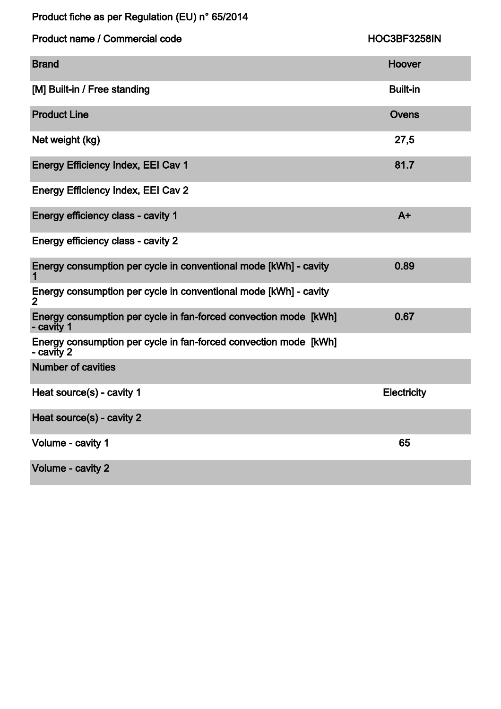Product fiche as per Regulation (EU) n° 65/2014

| Product name / Commercial code                                                     | HOC3BF3258IN       |
|------------------------------------------------------------------------------------|--------------------|
| <b>Brand</b>                                                                       | Hoover             |
| [M] Built-in / Free standing                                                       | <b>Built-in</b>    |
| <b>Product Line</b>                                                                | Ovens              |
| Net weight (kg)                                                                    | 27,5               |
| <b>Energy Efficiency Index, EEI Cav 1</b>                                          | 81.7               |
| <b>Energy Efficiency Index, EEI Cav 2</b>                                          |                    |
| Energy efficiency class - cavity 1                                                 | $A+$               |
| Energy efficiency class - cavity 2                                                 |                    |
| Energy consumption per cycle in conventional mode [kWh] - cavity                   | 0.89               |
| Energy consumption per cycle in conventional mode [kWh] - cavity<br>$\overline{2}$ |                    |
| Energy consumption per cycle in fan-forced convection mode [kWh]<br>- cavity 1     | 0.67               |
| Energy consumption per cycle in fan-forced convection mode [kWh]<br>- cavity 2     |                    |
| <b>Number of cavities</b>                                                          |                    |
| Heat source(s) - cavity 1                                                          | <b>Electricity</b> |
| Heat source(s) - cavity 2                                                          |                    |
| Volume - cavity 1                                                                  | 65                 |
| Volume - cavity 2                                                                  |                    |